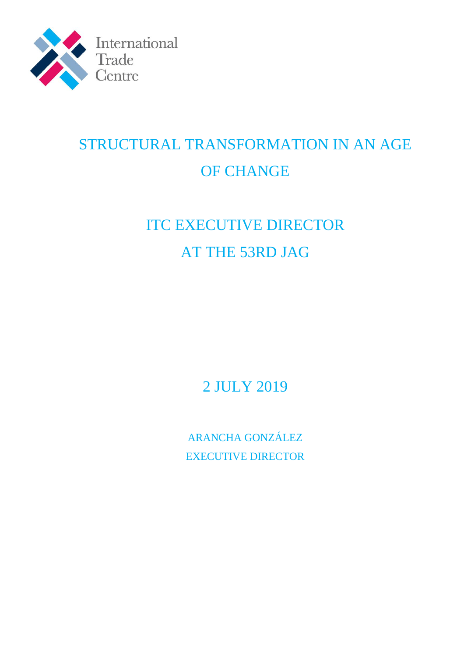

# STRUCTURAL TRANSFORMATION IN AN AGE OF CHANGE

# ITC EXECUTIVE DIRECTOR AT THE 53RD JAG

2 JULY 2019

ARANCHA GONZÁLEZ EXECUTIVE DIRECTOR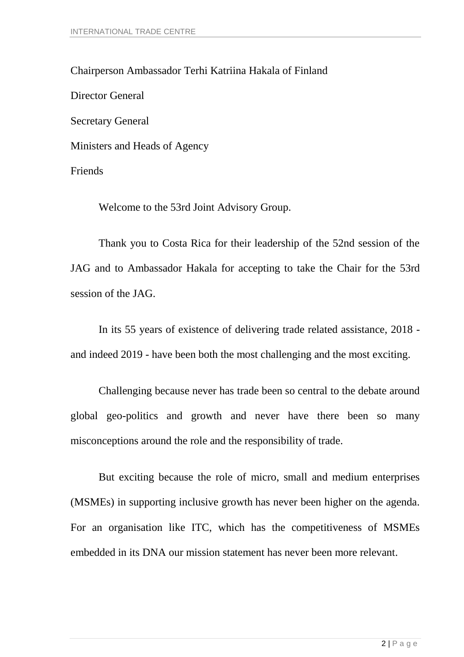Chairperson Ambassador Terhi Katriina Hakala of Finland Director General Secretary General Ministers and Heads of Agency Friends

Welcome to the 53rd Joint Advisory Group.

Thank you to Costa Rica for their leadership of the 52nd session of the JAG and to Ambassador Hakala for accepting to take the Chair for the 53rd session of the JAG.

In its 55 years of existence of delivering trade related assistance, 2018 and indeed 2019 - have been both the most challenging and the most exciting.

Challenging because never has trade been so central to the debate around global geo-politics and growth and never have there been so many misconceptions around the role and the responsibility of trade.

But exciting because the role of micro, small and medium enterprises (MSMEs) in supporting inclusive growth has never been higher on the agenda. For an organisation like ITC, which has the competitiveness of MSMEs embedded in its DNA our mission statement has never been more relevant.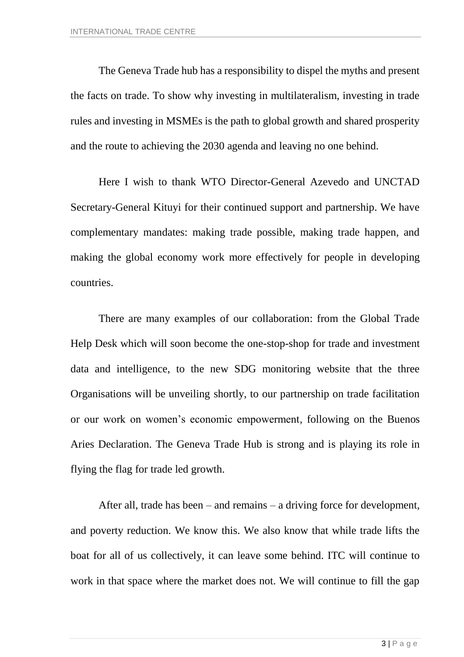The Geneva Trade hub has a responsibility to dispel the myths and present the facts on trade. To show why investing in multilateralism, investing in trade rules and investing in MSMEs is the path to global growth and shared prosperity and the route to achieving the 2030 agenda and leaving no one behind.

Here I wish to thank WTO Director-General Azevedo and UNCTAD Secretary-General Kituyi for their continued support and partnership. We have complementary mandates: making trade possible, making trade happen, and making the global economy work more effectively for people in developing countries.

There are many examples of our collaboration: from the Global Trade Help Desk which will soon become the one-stop-shop for trade and investment data and intelligence, to the new SDG monitoring website that the three Organisations will be unveiling shortly, to our partnership on trade facilitation or our work on women's economic empowerment, following on the Buenos Aries Declaration. The Geneva Trade Hub is strong and is playing its role in flying the flag for trade led growth.

After all, trade has been – and remains – a driving force for development, and poverty reduction. We know this. We also know that while trade lifts the boat for all of us collectively, it can leave some behind. ITC will continue to work in that space where the market does not. We will continue to fill the gap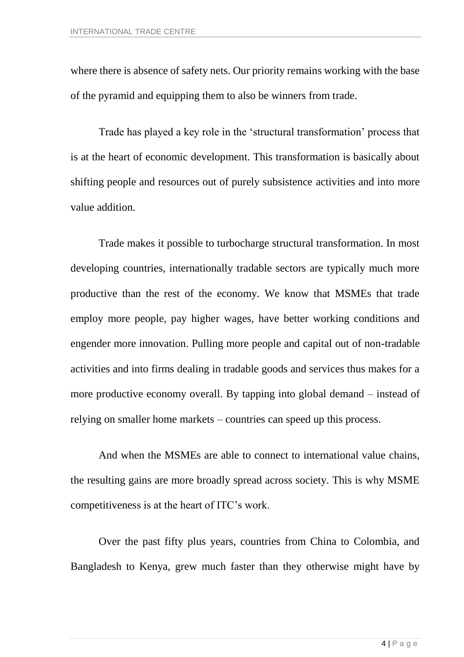where there is absence of safety nets. Our priority remains working with the base of the pyramid and equipping them to also be winners from trade.

Trade has played a key role in the 'structural transformation' process that is at the heart of economic development. This transformation is basically about shifting people and resources out of purely subsistence activities and into more value addition.

Trade makes it possible to turbocharge structural transformation. In most developing countries, internationally tradable sectors are typically much more productive than the rest of the economy. We know that MSMEs that trade employ more people, pay higher wages, have better working conditions and engender more innovation. Pulling more people and capital out of non-tradable activities and into firms dealing in tradable goods and services thus makes for a more productive economy overall. By tapping into global demand – instead of relying on smaller home markets – countries can speed up this process.

And when the MSMEs are able to connect to international value chains, the resulting gains are more broadly spread across society. This is why MSME competitiveness is at the heart of ITC's work.

Over the past fifty plus years, countries from China to Colombia, and Bangladesh to Kenya, grew much faster than they otherwise might have by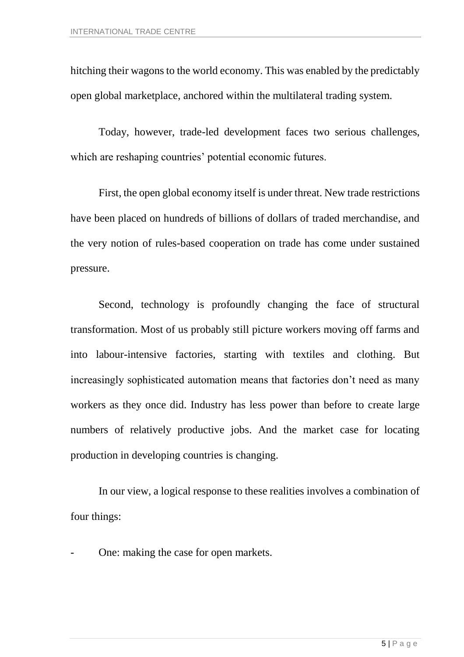hitching their wagons to the world economy. This was enabled by the predictably open global marketplace, anchored within the multilateral trading system.

Today, however, trade-led development faces two serious challenges, which are reshaping countries' potential economic futures.

First, the open global economy itself is under threat. New trade restrictions have been placed on hundreds of billions of dollars of traded merchandise, and the very notion of rules-based cooperation on trade has come under sustained pressure.

Second, technology is profoundly changing the face of structural transformation. Most of us probably still picture workers moving off farms and into labour-intensive factories, starting with textiles and clothing. But increasingly sophisticated automation means that factories don't need as many workers as they once did. Industry has less power than before to create large numbers of relatively productive jobs. And the market case for locating production in developing countries is changing.

In our view, a logical response to these realities involves a combination of four things:

One: making the case for open markets.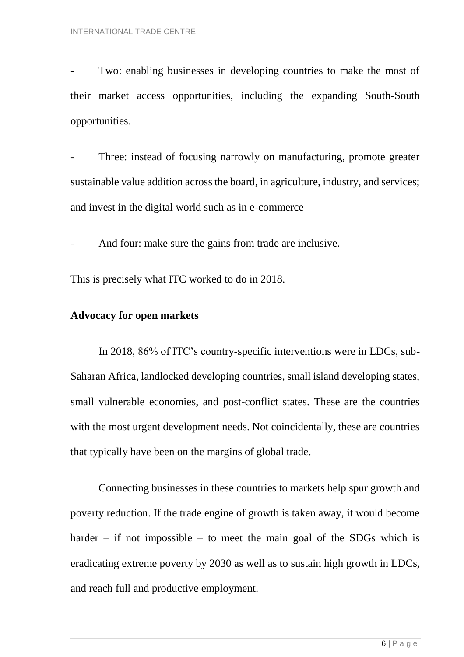Two: enabling businesses in developing countries to make the most of their market access opportunities, including the expanding South-South opportunities.

Three: instead of focusing narrowly on manufacturing, promote greater sustainable value addition across the board, in agriculture, industry, and services; and invest in the digital world such as in e-commerce

And four: make sure the gains from trade are inclusive.

This is precisely what ITC worked to do in 2018.

### **Advocacy for open markets**

In 2018, 86% of ITC's country-specific interventions were in LDCs, sub-Saharan Africa, landlocked developing countries, small island developing states, small vulnerable economies, and post-conflict states. These are the countries with the most urgent development needs. Not coincidentally, these are countries that typically have been on the margins of global trade.

Connecting businesses in these countries to markets help spur growth and poverty reduction. If the trade engine of growth is taken away, it would become harder – if not impossible – to meet the main goal of the SDGs which is eradicating extreme poverty by 2030 as well as to sustain high growth in LDCs, and reach full and productive employment.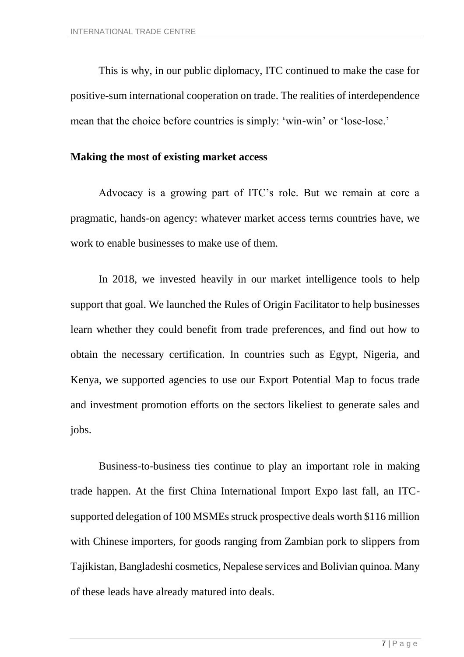This is why, in our public diplomacy, ITC continued to make the case for positive-sum international cooperation on trade. The realities of interdependence mean that the choice before countries is simply: 'win-win' or 'lose-lose.'

### **Making the most of existing market access**

Advocacy is a growing part of ITC's role. But we remain at core a pragmatic, hands-on agency: whatever market access terms countries have, we work to enable businesses to make use of them.

In 2018, we invested heavily in our market intelligence tools to help support that goal. We launched the Rules of Origin Facilitator to help businesses learn whether they could benefit from trade preferences, and find out how to obtain the necessary certification. In countries such as Egypt, Nigeria, and Kenya, we supported agencies to use our Export Potential Map to focus trade and investment promotion efforts on the sectors likeliest to generate sales and jobs.

Business-to-business ties continue to play an important role in making trade happen. At the first China International Import Expo last fall, an ITCsupported delegation of 100 MSMEs struck prospective deals worth \$116 million with Chinese importers, for goods ranging from Zambian pork to slippers from Tajikistan, Bangladeshi cosmetics, Nepalese services and Bolivian quinoa. Many of these leads have already matured into deals.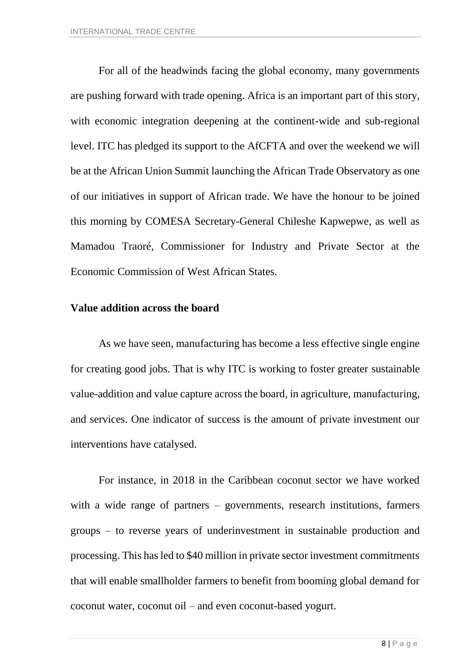For all of the headwinds facing the global economy, many governments are pushing forward with trade opening. Africa is an important part of this story, with economic integration deepening at the continent-wide and sub-regional level. ITC has pledged its support to the AfCFTA and over the weekend we will be at the African Union Summit launching the African Trade Observatory as one of our initiatives in support of African trade. We have the honour to be joined this morning by COMESA Secretary-General Chileshe Kapwepwe, as well as Mamadou Traoré, Commissioner for Industry and Private Sector at the Economic Commission of West African States.

#### **Value addition across the board**

As we have seen, manufacturing has become a less effective single engine for creating good jobs. That is why ITC is working to foster greater sustainable value-addition and value capture across the board, in agriculture, manufacturing, and services. One indicator of success is the amount of private investment our interventions have catalysed.

For instance, in 2018 in the Caribbean coconut sector we have worked with a wide range of partners – governments, research institutions, farmers groups – to reverse years of underinvestment in sustainable production and processing. This has led to \$40 million in private sector investment commitments that will enable smallholder farmers to benefit from booming global demand for coconut water, coconut oil – and even coconut-based yogurt.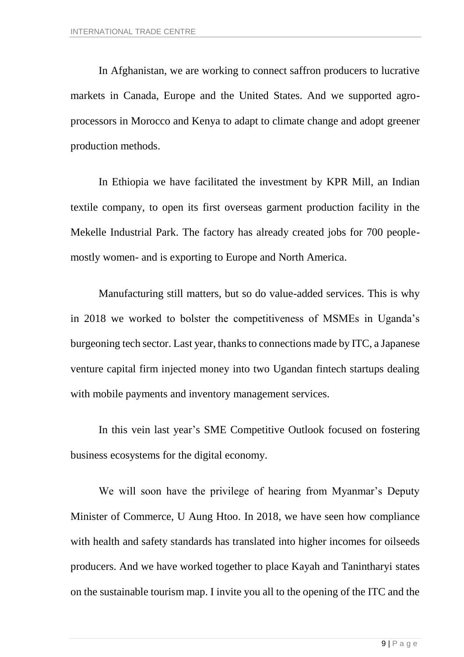In Afghanistan, we are working to connect saffron producers to lucrative markets in Canada, Europe and the United States. And we supported agroprocessors in Morocco and Kenya to adapt to climate change and adopt greener production methods.

In Ethiopia we have facilitated the investment by KPR Mill, an Indian textile company, to open its first overseas garment production facility in the Mekelle Industrial Park. The factory has already created jobs for 700 peoplemostly women- and is exporting to Europe and North America.

Manufacturing still matters, but so do value-added services. This is why in 2018 we worked to bolster the competitiveness of MSMEs in Uganda's burgeoning tech sector. Last year, thanks to connections made by ITC, a Japanese venture capital firm injected money into two Ugandan fintech startups dealing with mobile payments and inventory management services.

In this vein last year's SME Competitive Outlook focused on fostering business ecosystems for the digital economy.

We will soon have the privilege of hearing from Myanmar's Deputy Minister of Commerce, U Aung Htoo. In 2018, we have seen how compliance with health and safety standards has translated into higher incomes for oilseeds producers. And we have worked together to place Kayah and Tanintharyi states on the sustainable tourism map. I invite you all to the opening of the ITC and the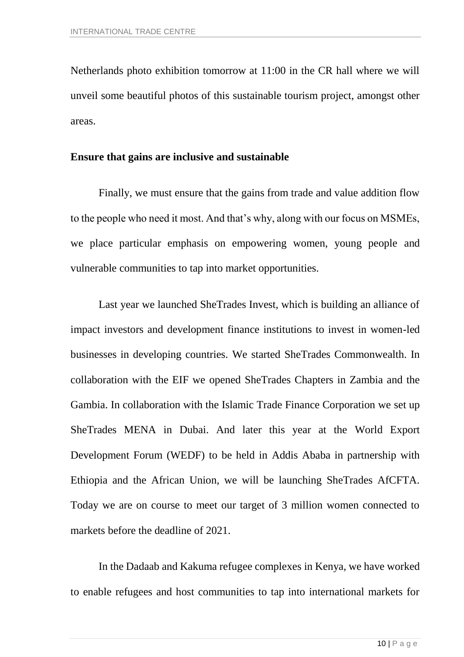Netherlands photo exhibition tomorrow at 11:00 in the CR hall where we will unveil some beautiful photos of this sustainable tourism project, amongst other areas.

#### **Ensure that gains are inclusive and sustainable**

Finally, we must ensure that the gains from trade and value addition flow to the people who need it most. And that's why, along with our focus on MSMEs, we place particular emphasis on empowering women, young people and vulnerable communities to tap into market opportunities.

Last year we launched SheTrades Invest, which is building an alliance of impact investors and development finance institutions to invest in women-led businesses in developing countries. We started SheTrades Commonwealth. In collaboration with the EIF we opened SheTrades Chapters in Zambia and the Gambia. In collaboration with the Islamic Trade Finance Corporation we set up SheTrades MENA in Dubai. And later this year at the World Export Development Forum (WEDF) to be held in Addis Ababa in partnership with Ethiopia and the African Union, we will be launching SheTrades AfCFTA. Today we are on course to meet our target of 3 million women connected to markets before the deadline of 2021.

In the Dadaab and Kakuma refugee complexes in Kenya, we have worked to enable refugees and host communities to tap into international markets for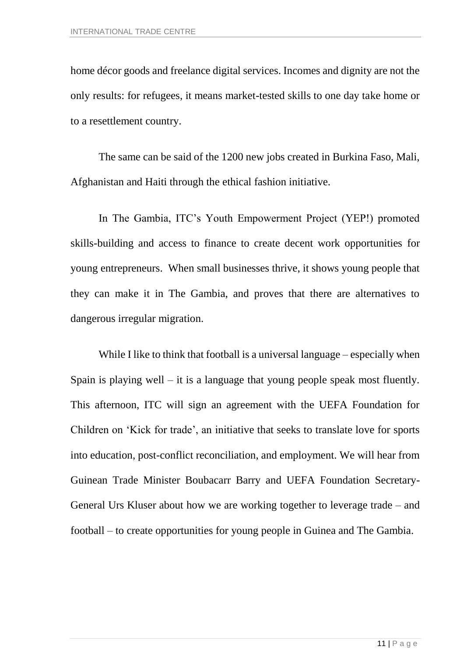home décor goods and freelance digital services. Incomes and dignity are not the only results: for refugees, it means market-tested skills to one day take home or to a resettlement country.

The same can be said of the 1200 new jobs created in Burkina Faso, Mali, Afghanistan and Haiti through the ethical fashion initiative.

In The Gambia, ITC's Youth Empowerment Project (YEP!) promoted skills-building and access to finance to create decent work opportunities for young entrepreneurs. When small businesses thrive, it shows young people that they can make it in The Gambia, and proves that there are alternatives to dangerous irregular migration.

While I like to think that football is a universal language – especially when Spain is playing well – it is a language that young people speak most fluently. This afternoon, ITC will sign an agreement with the UEFA Foundation for Children on 'Kick for trade', an initiative that seeks to translate love for sports into education, post-conflict reconciliation, and employment. We will hear from Guinean Trade Minister Boubacarr Barry and UEFA Foundation Secretary-General Urs Kluser about how we are working together to leverage trade – and football – to create opportunities for young people in Guinea and The Gambia.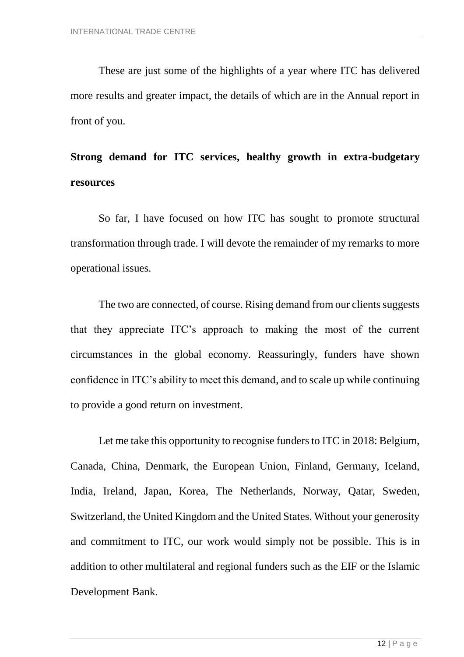These are just some of the highlights of a year where ITC has delivered more results and greater impact, the details of which are in the Annual report in front of you.

## **Strong demand for ITC services, healthy growth in extra-budgetary resources**

So far, I have focused on how ITC has sought to promote structural transformation through trade. I will devote the remainder of my remarks to more operational issues.

The two are connected, of course. Rising demand from our clients suggests that they appreciate ITC's approach to making the most of the current circumstances in the global economy. Reassuringly, funders have shown confidence in ITC's ability to meet this demand, and to scale up while continuing to provide a good return on investment.

Let me take this opportunity to recognise funders to ITC in 2018: Belgium, Canada, China, Denmark, the European Union, Finland, Germany, Iceland, India, Ireland, Japan, Korea, The Netherlands, Norway, Qatar, Sweden, Switzerland, the United Kingdom and the United States. Without your generosity and commitment to ITC, our work would simply not be possible. This is in addition to other multilateral and regional funders such as the EIF or the Islamic Development Bank.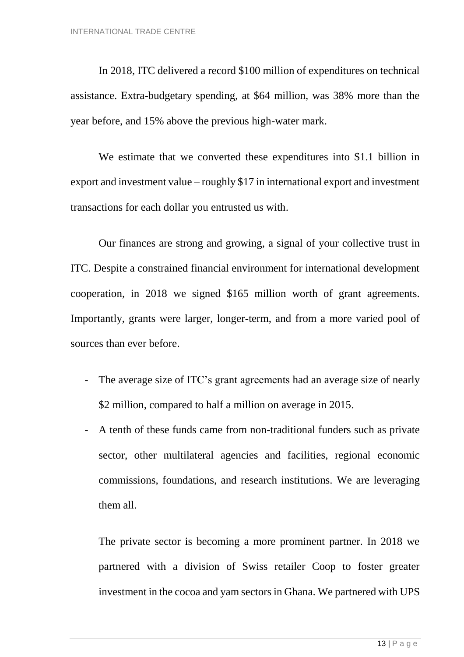In 2018, ITC delivered a record \$100 million of expenditures on technical assistance. Extra-budgetary spending, at \$64 million, was 38% more than the year before, and 15% above the previous high-water mark.

We estimate that we converted these expenditures into \$1.1 billion in export and investment value – roughly \$17 in international export and investment transactions for each dollar you entrusted us with.

Our finances are strong and growing, a signal of your collective trust in ITC. Despite a constrained financial environment for international development cooperation, in 2018 we signed \$165 million worth of grant agreements. Importantly, grants were larger, longer-term, and from a more varied pool of sources than ever before.

- The average size of ITC's grant agreements had an average size of nearly \$2 million, compared to half a million on average in 2015.
- A tenth of these funds came from non-traditional funders such as private sector, other multilateral agencies and facilities, regional economic commissions, foundations, and research institutions. We are leveraging them all.

The private sector is becoming a more prominent partner. In 2018 we partnered with a division of Swiss retailer Coop to foster greater investment in the cocoa and yam sectors in Ghana. We partnered with UPS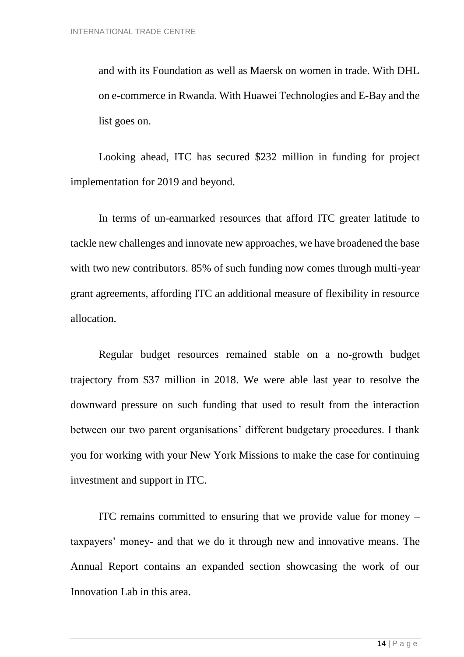and with its Foundation as well as Maersk on women in trade. With DHL on e-commerce in Rwanda. With Huawei Technologies and E-Bay and the list goes on.

Looking ahead, ITC has secured \$232 million in funding for project implementation for 2019 and beyond.

In terms of un-earmarked resources that afford ITC greater latitude to tackle new challenges and innovate new approaches, we have broadened the base with two new contributors. 85% of such funding now comes through multi-year grant agreements, affording ITC an additional measure of flexibility in resource allocation.

Regular budget resources remained stable on a no-growth budget trajectory from \$37 million in 2018. We were able last year to resolve the downward pressure on such funding that used to result from the interaction between our two parent organisations' different budgetary procedures. I thank you for working with your New York Missions to make the case for continuing investment and support in ITC.

ITC remains committed to ensuring that we provide value for money – taxpayers' money- and that we do it through new and innovative means. The Annual Report contains an expanded section showcasing the work of our Innovation Lab in this area.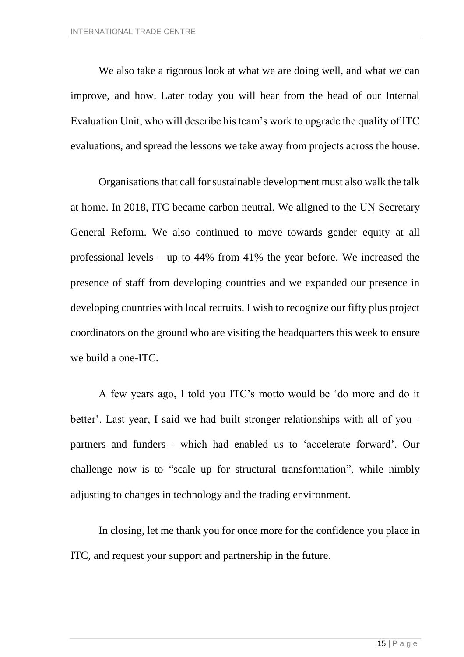We also take a rigorous look at what we are doing well, and what we can improve, and how. Later today you will hear from the head of our Internal Evaluation Unit, who will describe his team's work to upgrade the quality of ITC evaluations, and spread the lessons we take away from projects across the house.

Organisations that call for sustainable development must also walk the talk at home. In 2018, ITC became carbon neutral. We aligned to the UN Secretary General Reform. We also continued to move towards gender equity at all professional levels – up to 44% from 41% the year before. We increased the presence of staff from developing countries and we expanded our presence in developing countries with local recruits. I wish to recognize our fifty plus project coordinators on the ground who are visiting the headquarters this week to ensure we build a one-ITC.

A few years ago, I told you ITC's motto would be 'do more and do it better'. Last year, I said we had built stronger relationships with all of you partners and funders - which had enabled us to 'accelerate forward'. Our challenge now is to "scale up for structural transformation", while nimbly adjusting to changes in technology and the trading environment.

In closing, let me thank you for once more for the confidence you place in ITC, and request your support and partnership in the future.